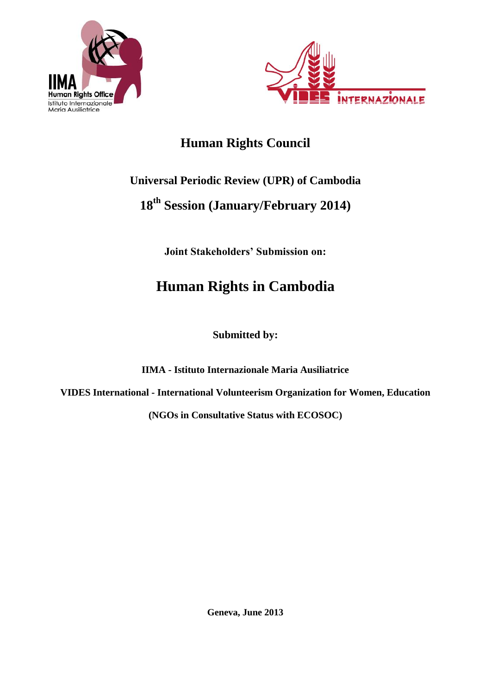



## **Human Rights Council**

# **Universal Periodic Review (UPR) of Cambodia**

## **18th Session (January/February 2014)**

**Joint Stakeholders' Submission on:**

# **Human Rights in Cambodia**

**Submitted by:**

**IIMA - Istituto Internazionale Maria Ausiliatrice** 

**VIDES International - International Volunteerism Organization for Women, Education**

**(NGOs in Consultative Status with ECOSOC)**

**Geneva, June 2013**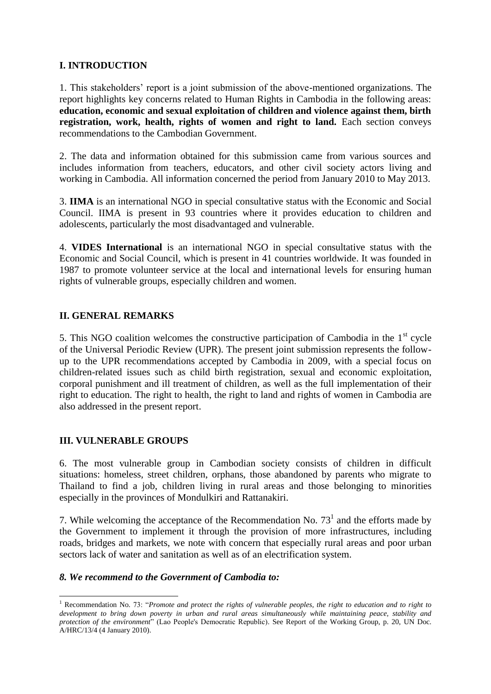## **I. INTRODUCTION**

1. This stakeholders' report is a joint submission of the above-mentioned organizations. The report highlights key concerns related to Human Rights in Cambodia in the following areas: **education, economic and sexual exploitation of children and violence against them, birth**  registration, work, health, rights of women and right to land. Each section conveys recommendations to the Cambodian Government.

2. The data and information obtained for this submission came from various sources and includes information from teachers, educators, and other civil society actors living and working in Cambodia. All information concerned the period from January 2010 to May 2013.

3. **IIMA** is an international NGO in special consultative status with the Economic and Social Council. IIMA is present in 93 countries where it provides education to children and adolescents, particularly the most disadvantaged and vulnerable.

4. **VIDES International** is an international NGO in special consultative status with the Economic and Social Council, which is present in 41 countries worldwide. It was founded in 1987 to promote volunteer service at the local and international levels for ensuring human rights of vulnerable groups, especially children and women.

## **II. GENERAL REMARKS**

5. This NGO coalition welcomes the constructive participation of Cambodia in the  $1<sup>st</sup>$  cycle of the Universal Periodic Review (UPR). The present joint submission represents the followup to the UPR recommendations accepted by Cambodia in 2009, with a special focus on children-related issues such as child birth registration, sexual and economic exploitation, corporal punishment and ill treatment of children, as well as the full implementation of their right to education. The right to health, the right to land and rights of women in Cambodia are also addressed in the present report.

## **III. VULNERABLE GROUPS**

1

6. The most vulnerable group in Cambodian society consists of children in difficult situations: homeless, street children, orphans, those abandoned by parents who migrate to Thailand to find a job, children living in rural areas and those belonging to minorities especially in the provinces of Mondulkiri and Rattanakiri.

7. While welcoming the acceptance of the Recommendation No.  $73<sup>1</sup>$  and the efforts made by the Government to implement it through the provision of more infrastructures, including roads, bridges and markets, we note with concern that especially rural areas and poor urban sectors lack of water and sanitation as well as of an electrification system.

## *8. We recommend to the Government of Cambodia to:*

<sup>&</sup>lt;sup>1</sup> Recommendation No. 73: "Promote and protect the rights of vulnerable peoples, the right to education and to right to *development to bring down poverty in urban and rural areas simultaneously while maintaining peace, stability and protection of the environment*" (Lao People's Democratic Republic). See Report of the Working Group, p. 20, UN Doc. A/HRC/13/4 (4 January 2010).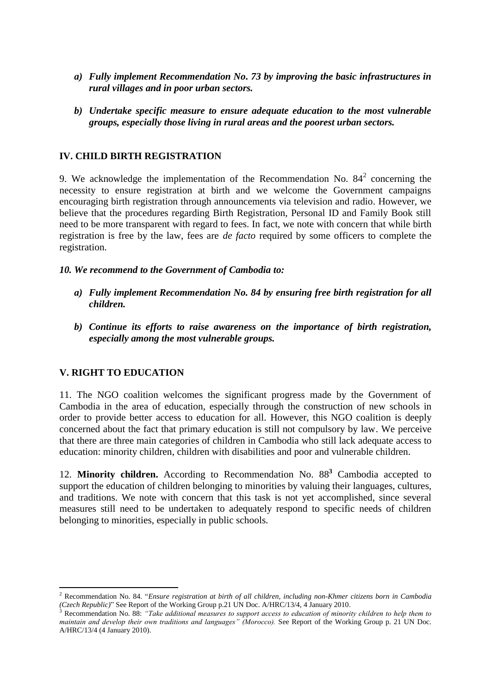- *a) Fully implement Recommendation No. 73 by improving the basic infrastructures in rural villages and in poor urban sectors.*
- *b) Undertake specific measure to ensure adequate education to the most vulnerable groups, especially those living in rural areas and the poorest urban sectors.*

## **IV. CHILD BIRTH REGISTRATION**

9. We acknowledge the implementation of the Recommendation No.  $84^2$  concerning the necessity to ensure registration at birth and we welcome the Government campaigns encouraging birth registration through announcements via television and radio. However, we believe that the procedures regarding Birth Registration, Personal ID and Family Book still need to be more transparent with regard to fees. In fact, we note with concern that while birth registration is free by the law, fees are *de facto* required by some officers to complete the registration.

## *10. We recommend to the Government of Cambodia to:*

- *a) Fully implement Recommendation No. 84 by ensuring free birth registration for all children.*
- *b) Continue its efforts to raise awareness on the importance of birth registration, especially among the most vulnerable groups.*

## **V. RIGHT TO EDUCATION**

1

11. The NGO coalition welcomes the significant progress made by the Government of Cambodia in the area of education, especially through the construction of new schools in order to provide better access to education for all. However, this NGO coalition is deeply concerned about the fact that primary education is still not compulsory by law. We perceive that there are three main categories of children in Cambodia who still lack adequate access to education: minority children, children with disabilities and poor and vulnerable children.

12. **Minority children.** According to Recommendation No. 88**<sup>3</sup>** Cambodia accepted to support the education of children belonging to minorities by valuing their languages, cultures, and traditions. We note with concern that this task is not yet accomplished, since several measures still need to be undertaken to adequately respond to specific needs of children belonging to minorities, especially in public schools.

<sup>2</sup> Recommendation No. 84. "*Ensure registration at birth of all children, including non-Khmer citizens born in Cambodia (Czech Republic)*" See Report of the Working Group p.21 UN Doc. A/HRC/13/4, 4 January 2010.

<sup>3</sup> Recommendation No. 88: *"Take additional measures to support access to education of minority children to help them to maintain and develop their own traditions and languages" (Morocco).* See Report of the Working Group p. 21 UN Doc. A/HRC/13/4 (4 January 2010).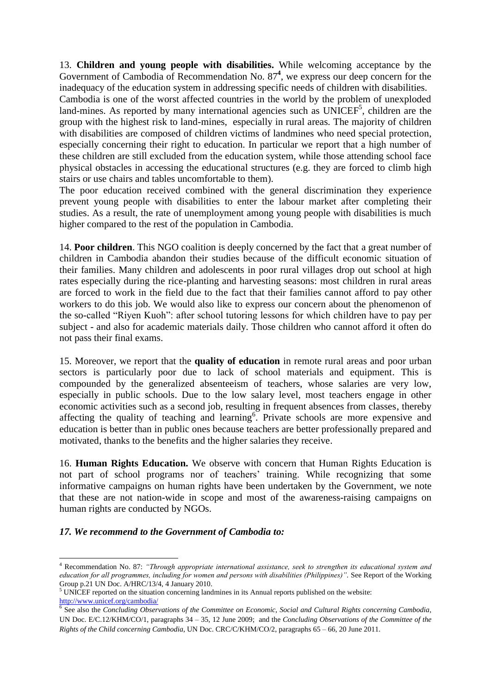13. **Children and young people with disabilities.** While welcoming acceptance by the Government of Cambodia of Recommendation No. 87<sup>4</sup>, we express our deep concern for the inadequacy of the education system in addressing specific needs of children with disabilities.

Cambodia is one of the worst affected countries in the world by the problem of unexploded land-mines. As reported by many international agencies such as  $UNICEF<sup>5</sup>$ , children are the group with the highest risk to land-mines, especially in rural areas. The majority of children with disabilities are composed of children victims of landmines who need special protection, especially concerning their right to education. In particular we report that a high number of these children are still excluded from the education system, while those attending school face physical obstacles in accessing the educational structures (e.g. they are forced to climb high stairs or use chairs and tables uncomfortable to them).

The poor education received combined with the general discrimination they experience prevent young people with disabilities to enter the labour market after completing their studies. As a result, the rate of unemployment among young people with disabilities is much higher compared to the rest of the population in Cambodia.

14. **Poor children**. This NGO coalition is deeply concerned by the fact that a great number of children in Cambodia abandon their studies because of the difficult economic situation of their families. Many children and adolescents in poor rural villages drop out school at high rates especially during the rice-planting and harvesting seasons: most children in rural areas are forced to work in the field due to the fact that their families cannot afford to pay other workers to do this job. We would also like to express our concern about the phenomenon of the so-called "Riyen Kuoh": after school tutoring lessons for which children have to pay per subject - and also for academic materials daily. Those children who cannot afford it often do not pass their final exams.

15. Moreover, we report that the **quality of education** in remote rural areas and poor urban sectors is particularly poor due to lack of school materials and equipment. This is compounded by the generalized absenteeism of teachers, whose salaries are very low, especially in public schools. Due to the low salary level, most teachers engage in other economic activities such as a second job, resulting in frequent absences from classes, thereby affecting the quality of teaching and learning<sup>6</sup>. Private schools are more expensive and education is better than in public ones because teachers are better professionally prepared and motivated, thanks to the benefits and the higher salaries they receive.

16. **Human Rights Education.** We observe with concern that Human Rights Education is not part of school programs nor of teachers' training. While recognizing that some informative campaigns on human rights have been undertaken by the Government, we note that these are not nation-wide in scope and most of the awareness-raising campaigns on human rights are conducted by NGOs.

## *17. We recommend to the Government of Cambodia to:*

1

<sup>4</sup> Recommendation No. 87: *"Through appropriate international assistance, seek to strengthen its educational system and education for all programmes, including for women and persons with disabilities (Philippines)".* See Report of the Working Group p.21 UN Doc. A/HRC/13/4, 4 January 2010.

 $<sup>5</sup>$  UNICEF reported on the situation concerning landmines in its Annual reports published on the website:</sup> <http://www.unicef.org/cambodia/> 6 See also the *Concluding Observations of the Committee on Economic, Social and Cultural Rights concerning Cambodia,* 

UN Doc. E/C.12/KHM/CO/1, paragraphs 34 – 35, 12 June 2009; and the *Concluding Observations of the Committee of the Rights of the Child concerning Cambodia*, UN Doc. CRC/C/KHM/CO/2, paragraphs 65 – 66, 20 June 2011.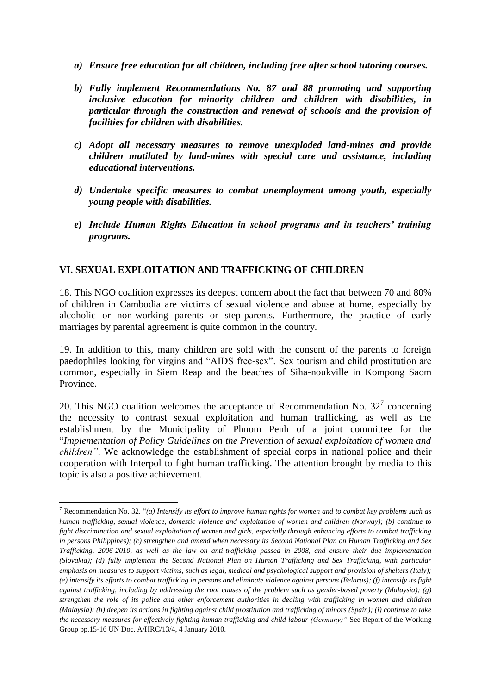- *a) Ensure free education for all children, including free after school tutoring courses.*
- *b) Fully implement Recommendations No. 87 and 88 promoting and supporting inclusive education for minority children and children with disabilities, in particular through the construction and renewal of schools and the provision of facilities for children with disabilities.*
- *c) Adopt all necessary measures to remove unexploded land-mines and provide children mutilated by land-mines with special care and assistance, including educational interventions.*
- *d) Undertake specific measures to combat unemployment among youth, especially young people with disabilities.*
- *e) Include Human Rights Education in school programs and in teachers' training programs.*

## **VI. SEXUAL EXPLOITATION AND TRAFFICKING OF CHILDREN**

18. This NGO coalition expresses its deepest concern about the fact that between 70 and 80% of children in Cambodia are victims of sexual violence and abuse at home, especially by alcoholic or non-working parents or step-parents. Furthermore, the practice of early marriages by parental agreement is quite common in the country.

19. In addition to this, many children are sold with the consent of the parents to foreign paedophiles looking for virgins and "AIDS free-sex". Sex tourism and child prostitution are common, especially in Siem Reap and the beaches of Siha-noukville in Kompong Saom Province.

20. This NGO coalition welcomes the acceptance of Recommendation No.  $32^7$  concerning the necessity to contrast sexual exploitation and human trafficking, as well as the establishment by the Municipality of Phnom Penh of a joint committee for the "*Implementation of Policy Guidelines on the Prevention of sexual exploitation of women and children"*. We acknowledge the establishment of special corps in national police and their cooperation with Interpol to fight human trafficking. The attention brought by media to this topic is also a positive achievement.

<sup>1</sup> <sup>7</sup> Recommendation No. 32. "*(a) Intensify its effort to improve human rights for women and to combat key problems such as human trafficking, sexual violence, domestic violence and exploitation of women and children (Norway); (b) continue to fight discrimination and sexual exploitation of women and girls, especially through enhancing efforts to combat trafficking in persons Philippines); (c) strengthen and amend when necessary its Second National Plan on Human Trafficking and Sex Trafficking, 2006-2010, as well as the law on anti-trafficking passed in 2008, and ensure their due implementation (Slovakia); (d) fully implement the Second National Plan on Human Trafficking and Sex Trafficking, with particular emphasis on measures to support victims, such as legal, medical and psychological support and provision of shelters (Italy); (e) intensify its efforts to combat trafficking in persons and eliminate violence against persons (Belarus); (f) intensify its fight against trafficking, including by addressing the root causes of the problem such as gender-based poverty (Malaysia); (g) strengthen the role of its police and other enforcement authorities in dealing with trafficking in women and children (Malaysia); (h) deepen its actions in fighting against child prostitution and trafficking of minors (Spain); (i) continue to take the necessary measures for effectively fighting human trafficking and child labour (Germany)"* See Report of the Working Group pp.15-16 UN Doc. A/HRC/13/4, 4 January 2010.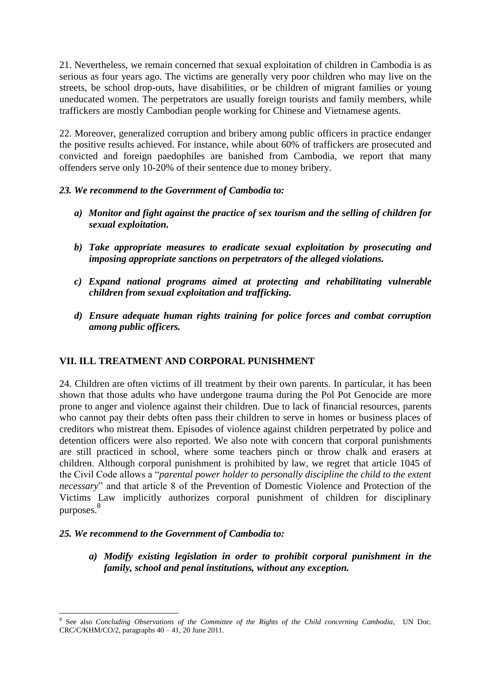21. Nevertheless, we remain concerned that sexual exploitation of children in Cambodia is as serious as four years ago. The victims are generally very poor children who may live on the streets, be school drop-outs, have disabilities, or be children of migrant families or young uneducated women. The perpetrators are usually foreign tourists and family members, while traffickers are mostly Cambodian people working for Chinese and Vietnamese agents.

22. Moreover, generalized corruption and bribery among public officers in practice endanger the positive results achieved. For instance, while about 60% of traffickers are prosecuted and convicted and foreign paedophiles are banished from Cambodia, we report that many offenders serve only 10-20% of their sentence due to money bribery.

## *23. We recommend to the Government of Cambodia to:*

- *a) Monitor and fight against the practice of sex tourism and the selling of children for sexual exploitation.*
- *b) Take appropriate measures to eradicate sexual exploitation by prosecuting and imposing appropriate sanctions on perpetrators of the alleged violations.*
- *c) Expand national programs aimed at protecting and rehabilitating vulnerable children from sexual exploitation and trafficking.*
- *d) Ensure adequate human rights training for police forces and combat corruption among public officers.*

## **VII. ILL TREATMENT AND CORPORAL PUNISHMENT**

24. Children are often victims of ill treatment by their own parents. In particular, it has been shown that those adults who have undergone trauma during the Pol Pot Genocide are more prone to anger and violence against their children. Due to lack of financial resources, parents who cannot pay their debts often pass their children to serve in homes or business places of creditors who mistreat them. Episodes of violence against children perpetrated by police and detention officers were also reported. We also note with concern that corporal punishments are still practiced in school, where some teachers pinch or throw chalk and erasers at children. Although corporal punishment is prohibited by law, we regret that article 1045 of the Civil Code allows a "*parental power holder to personally discipline the child to the extent necessary*" and that article 8 of the Prevention of Domestic Violence and Protection of the Victims Law implicitly authorizes corporal punishment of children for disciplinary purposes. 8

## *25. We recommend to the Government of Cambodia to:*

*a) Modify existing legislation in order to prohibit corporal punishment in the family, school and penal institutions, without any exception.*

<sup>1</sup> 8 See also *Concluding Observations of the Committee of the Rights of the Child concerning Cambodia*, UN Doc.  $CRC/C/KHM/CO/2$ , paragraphs  $40 - 41$ , 20 June 2011.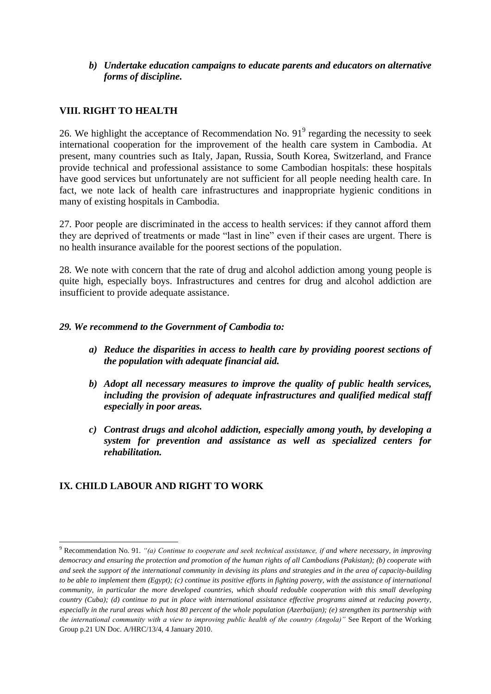*b) Undertake education campaigns to educate parents and educators on alternative forms of discipline.*

## **VIII. RIGHT TO HEALTH**

26. We highlight the acceptance of Recommendation No.  $91^9$  regarding the necessity to seek international cooperation for the improvement of the health care system in Cambodia. At present, many countries such as Italy, Japan, Russia, South Korea, Switzerland, and France provide technical and professional assistance to some Cambodian hospitals: these hospitals have good services but unfortunately are not sufficient for all people needing health care. In fact, we note lack of health care infrastructures and inappropriate hygienic conditions in many of existing hospitals in Cambodia.

27. Poor people are discriminated in the access to health services: if they cannot afford them they are deprived of treatments or made "last in line" even if their cases are urgent. There is no health insurance available for the poorest sections of the population.

28. We note with concern that the rate of drug and alcohol addiction among young people is quite high, especially boys. Infrastructures and centres for drug and alcohol addiction are insufficient to provide adequate assistance.

## *29. We recommend to the Government of Cambodia to:*

- *a) Reduce the disparities in access to health care by providing poorest sections of the population with adequate financial aid.*
- *b) Adopt all necessary measures to improve the quality of public health services, including the provision of adequate infrastructures and qualified medical staff especially in poor areas.*
- *c) Contrast drugs and alcohol addiction, especially among youth, by developing a system for prevention and assistance as well as specialized centers for rehabilitation.*

## **IX. CHILD LABOUR AND RIGHT TO WORK**

.

<sup>9</sup> Recommendation No. 91. *"(a) Continue to cooperate and seek technical assistance, if and where necessary, in improving democracy and ensuring the protection and promotion of the human rights of all Cambodians (Pakistan); (b) cooperate with and seek the support of the international community in devising its plans and strategies and in the area of capacity-building to be able to implement them (Egypt); (c) continue its positive efforts in fighting poverty, with the assistance of international community, in particular the more developed countries, which should redouble cooperation with this small developing country (Cuba); (d) continue to put in place with international assistance effective programs aimed at reducing poverty, especially in the rural areas which host 80 percent of the whole population (Azerbaijan); (e) strengthen its partnership with the international community with a view to improving public health of the country (Angola)"* See Report of the Working Group p.21 UN Doc. A/HRC/13/4, 4 January 2010.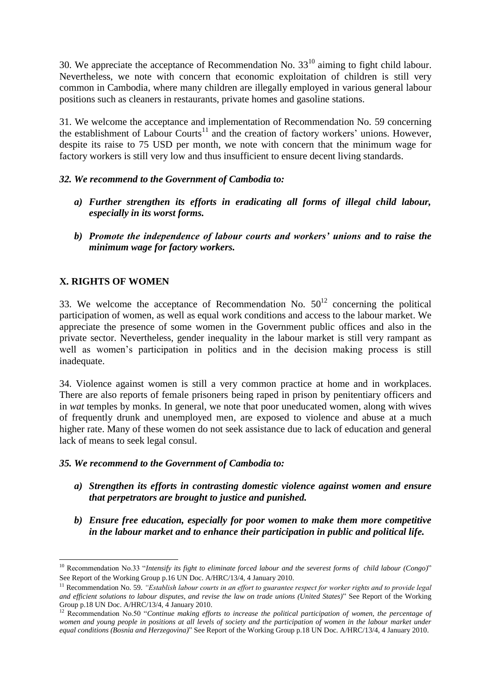30. We appreciate the acceptance of Recommendation No.  $33^{10}$  aiming to fight child labour. Nevertheless, we note with concern that economic exploitation of children is still very common in Cambodia, where many children are illegally employed in various general labour positions such as cleaners in restaurants, private homes and gasoline stations.

31. We welcome the acceptance and implementation of Recommendation No. 59 concerning the establishment of Labour Courts<sup>11</sup> and the creation of factory workers' unions. However, despite its raise to 75 USD per month, we note with concern that the minimum wage for factory workers is still very low and thus insufficient to ensure decent living standards.

## *32. We recommend to the Government of Cambodia to:*

- *a) Further strengthen its efforts in eradicating all forms of illegal child labour, especially in its worst forms.*
- *b) Promote the independence of labour courts and workers' unions and to raise the minimum wage for factory workers.*

## **X. RIGHTS OF WOMEN**

1

33. We welcome the acceptance of Recommendation No.  $50^{12}$  concerning the political participation of women, as well as equal work conditions and access to the labour market. We appreciate the presence of some women in the Government public offices and also in the private sector. Nevertheless, gender inequality in the labour market is still very rampant as well as women's participation in politics and in the decision making process is still inadequate.

34. Violence against women is still a very common practice at home and in workplaces. There are also reports of female prisoners being raped in prison by penitentiary officers and in *wat* temples by monks. In general, we note that poor uneducated women, along with wives of frequently drunk and unemployed men, are exposed to violence and abuse at a much higher rate. Many of these women do not seek assistance due to lack of education and general lack of means to seek legal consul.

## *35. We recommend to the Government of Cambodia to:*

- *a) Strengthen its efforts in contrasting domestic violence against women and ensure that perpetrators are brought to justice and punished.*
- *b) Ensure free education, especially for poor women to make them more competitive in the labour market and to enhance their participation in public and political life.*

<sup>10</sup> Recommendation No.33 "*Intensify its fight to eliminate forced labour and the severest forms of child labour (Congo)*" See Report of the Working Group p.16 UN Doc. A/HRC/13/4, 4 January 2010.

<sup>11</sup> Recommendation No. 59. *"Establish labour courts in an effort to guarantee respect for worker rights and to provide legal and efficient solutions to labour disputes, and revise the law on trade unions (United States)*" See Report of the Working Group p.18 UN Doc. A/HRC/13/4, 4 January 2010.

<sup>&</sup>lt;sup>12</sup> Recommendation No.50 "*Continue making efforts to increase the political participation of women, the percentage of women and young people in positions at all levels of society and the participation of women in the labour market under equal conditions (Bosnia and Herzegovina)*" See Report of the Working Group p.18 UN Doc. A/HRC/13/4, 4 January 2010.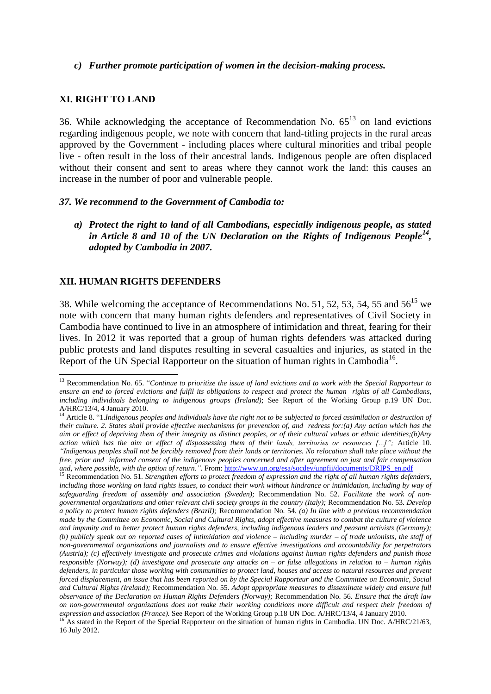### *c) Further promote participation of women in the decision-making process.*

## **XI. RIGHT TO LAND**

36. While acknowledging the acceptance of Recommendation No.  $65<sup>13</sup>$  on land evictions regarding indigenous people, we note with concern that land-titling projects in the rural areas approved by the Government - including places where cultural minorities and tribal people live - often result in the loss of their ancestral lands. Indigenous people are often displaced without their consent and sent to areas where they cannot work the land: this causes an increase in the number of poor and vulnerable people.

### *37. We recommend to the Government of Cambodia to:*

*a) Protect the right to land of all Cambodians, especially indigenous people, as stated*  in Article 8 and 10 of the UN Declaration on the Rights of Indigenous People<sup>14</sup>, *adopted by Cambodia in 2007.*

## **XII. HUMAN RIGHTS DEFENDERS**

1

38. While welcoming the acceptance of Recommendations No. 51, 52, 53, 54, 55 and  $56^{15}$  we note with concern that many human rights defenders and representatives of Civil Society in Cambodia have continued to live in an atmosphere of intimidation and threat, fearing for their lives. In 2012 it was reported that a group of human rights defenders was attacked during public protests and land disputes resulting in several casualties and injuries, as stated in the Report of the UN Special Rapporteur on the situation of human rights in Cambodia<sup>16</sup>.

<sup>13</sup> Recommendation No. 65. "*Continue to prioritize the issue of land evictions and to work with the Special Rapporteur to ensure an end to forced evictions and fulfil its obligations to respect and protect the human rights of all Cambodians, including individuals belonging to indigenous groups (Ireland)*; See Report of the Working Group p.19 UN Doc. A/HRC/13/4, 4 January 2010.

<sup>&</sup>lt;sup>14</sup> Article 8. "1.*Indigenous peoples and individuals have the right not to be subjected to forced assimilation or destruction of their culture. 2. States shall provide effective mechanisms for prevention of, and redress for:(a) Any action which has the aim or effect of depriving them of their integrity as distinct peoples, or of their cultural values or ethnic identities;(b)Any action which has the aim or effect of dispossessing them of their lands, territories or resources [...]";* Article 10. *"Indigenous peoples shall not be forcibly removed from their lands or territories. No relocation shall take place without the free, prior and informed consent of the indigenous peoples concerned and after agreement on just and fair compensation*  and, where possible, with the option of return.". From: [http://www.un.org/esa/socdev/unpfii/documents/DRIPS\\_en.pdf](http://www.un.org/esa/socdev/unpfii/documents/DRIPS_en.pdf) <sup>15</sup> Recommendation No. 51, Signaci<sup>1</sup>

<sup>15</sup> Recommendation No. 51*. Strengthen efforts to protect freedom of expression and the right of all human rights defenders,*  including those working on land rights issues, to conduct their work without hindrance or intimidation, including by way of *safeguarding freedom of assembly and association (Sweden);* Recommendation No. 52. *Facilitate the work of nongovernmental organizations and other relevant civil society groups in the country (Italy);* Recommendation No. 53*. Develop a policy to protect human rights defenders (Brazil);* Recommendation No. 54*. (a) In line with a previous recommendation made by the Committee on Economic, Social and Cultural Rights, adopt effective measures to combat the culture of violence and impunity and to better protect human rights defenders, including indigenous leaders and peasant activists (Germany); (b) publicly speak out on reported cases of intimidation and violence – including murder – of trade unionists, the staff of non-governmental organizations and journalists and to ensure effective investigations and accountability for perpetrators (Austria); (c) effectively investigate and prosecute crimes and violations against human rights defenders and punish those responsible (Norway); (d) investigate and prosecute any attacks on – or false allegations in relation to – human rights defenders, in particular those working with communities to protect land, houses and access to natural resources and prevent forced displacement, an issue that has been reported on by the Special Rapporteur and the Committee on Economic, Social and Cultural Rights (Ireland);* Recommendation No. 55*. Adopt appropriate measures to disseminate widely and ensure full observance of the Declaration on Human Rights Defenders (Norway);* Recommendation No. 56. *Ensure that the draft law on non-governmental organizations does not make their working conditions more difficult and respect their freedom of expression and association (France).* See Report of the Working Group p.18 UN Doc. A/HRC/13/4, 4 January 2010.

<sup>&</sup>lt;sup>16</sup> As stated in the Report of the Special Rapporteur on the situation of human rights in Cambodia. UN Doc. A/HRC/21/63, 16 July 2012.